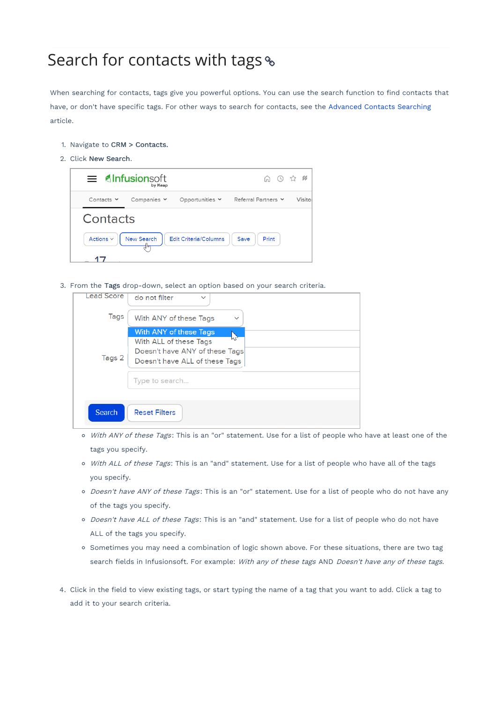## Search for contacts with tags &

When searching for contacts, tags give you powerful options. You can use the search function to find contacts that have, or don't have specific tags. For other ways to search for contacts, see the Advanced Contacts Searching article.

- 1. Navigate to CRM > Contacts.
- 2. Click New Search.

|                                                                                                       | $\equiv$ <b>Alnfusionsoft</b><br>by Keap |                      | ∩ ⊙ ☆ #             |        |  |
|-------------------------------------------------------------------------------------------------------|------------------------------------------|----------------------|---------------------|--------|--|
| Contacts $\vee$                                                                                       | Companies $\checkmark$                   | Opportunities $\vee$ | Referral Partners ∨ | Visito |  |
| Contacts                                                                                              |                                          |                      |                     |        |  |
| New Search<br>Actions $\scriptstyle\mathtt{<}$<br><b>Edit Criteria/Columns</b><br>Save<br>Print<br>╢┉ |                                          |                      |                     |        |  |
|                                                                                                       |                                          |                      |                     |        |  |

3. From the Tags drop-down, select an option based on your search criteria.

| <b>Lead Score</b> | do not filter<br>$\checkmark$                                                                                                                |
|-------------------|----------------------------------------------------------------------------------------------------------------------------------------------|
| Tags              | With ANY of these Tags<br>$\checkmark$                                                                                                       |
| Tags 2            | With ANY of these Tags<br>'м<br>With ALL of these Tags<br>Doesn't have ANY of these Tags<br>Doesn't have ALL of these Tags<br>Type to search |
| Search            | <b>Reset Filters</b>                                                                                                                         |

- o With ANY of these Tags: This is an "or" statement. Use for a list of people who have at least one of the tags you specify.
- o With ALL of these Tags: This is an "and" statement. Use for a list of people who have all of the tags you specify.
- o Doesn't have ANY of these Tags: This is an "or" statement. Use for a list of people who do not have any of the tags you specify.
- o Doesn't have ALL of these Tags: This is an "and" statement. Use for a list of people who do not have ALL of the tags you specify.
- o Sometimes you may need a combination of logic shown above. For these situations, there are two tag search fields in Infusionsoft. For example: With any of these tags AND Doesn't have any of these tags.
- 4. Click in the field to view existing tags, or start typing the name of a tag that you want to add. Click a tag to add it to your search criteria.